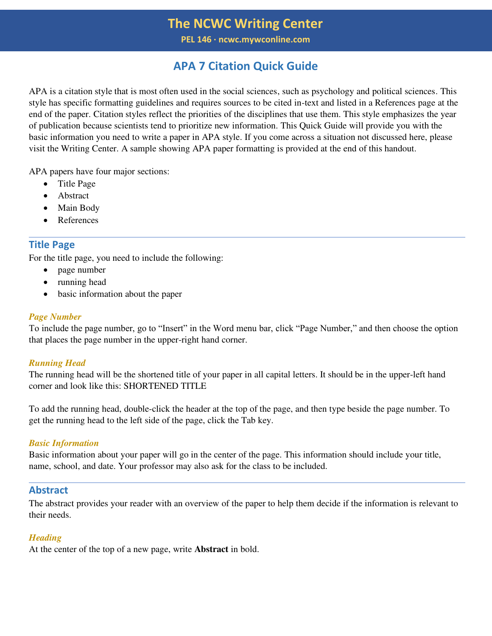**PEL 146 ∙ ncwc.mywconline.com**

# **APA 7 Citation Quick Guide**

APA is a citation style that is most often used in the social sciences, such as psychology and political sciences. This style has specific formatting guidelines and requires sources to be cited in-text and listed in a References page at the end of the paper. Citation styles reflect the priorities of the disciplines that use them. This style emphasizes the year of publication because scientists tend to prioritize new information. This Quick Guide will provide you with the basic information you need to write a paper in APA style. If you come across a situation not discussed here, please visit the Writing Center. A sample showing APA paper formatting is provided at the end of this handout.

APA papers have four major sections:

- Title Page
- Abstract
- Main Body
- References

# **Title Page**

For the title page, you need to include the following:

- page number
- running head
- basic information about the paper

### *Page Number*

To include the page number, go to "Insert" in the Word menu bar, click "Page Number," and then choose the option that places the page number in the upper-right hand corner.

### *Running Head*

The running head will be the shortened title of your paper in all capital letters. It should be in the upper-left hand corner and look like this: SHORTENED TITLE

To add the running head, double-click the header at the top of the page, and then type beside the page number. To get the running head to the left side of the page, click the Tab key.

### *Basic Information*

Basic information about your paper will go in the center of the page. This information should include your title, name, school, and date. Your professor may also ask for the class to be included.

# **Abstract**

The abstract provides your reader with an overview of the paper to help them decide if the information is relevant to their needs.

### *Heading*

At the center of the top of a new page, write **Abstract** in bold.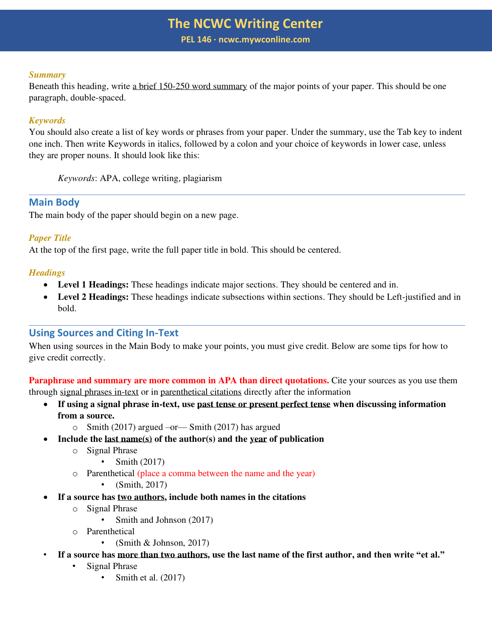**PEL 146 ∙ ncwc.mywconline.com**

#### *Summary*

Beneath this heading, write a brief 150-250 word summary of the major points of your paper. This should be one paragraph, double-spaced.

### *Keywords*

You should also create a list of key words or phrases from your paper. Under the summary, use the Tab key to indent one inch. Then write Keywords in italics, followed by a colon and your choice of keywords in lower case, unless they are proper nouns. It should look like this:

*Keywords*: APA, college writing, plagiarism

# **Main Body**

The main body of the paper should begin on a new page.

## *Paper Title*

At the top of the first page, write the full paper title in bold. This should be centered.

## *Headings*

- **Level 1 Headings:** These headings indicate major sections. They should be centered and in.
- **Level 2 Headings:** These headings indicate subsections within sections. They should be Left-justified and in bold.

# **Using Sources and Citing In-Text**

When using sources in the Main Body to make your points, you must give credit. Below are some tips for how to give credit correctly.

**Paraphrase and summary are more common in APA than direct quotations.** Cite your sources as you use them through signal phrases in-text or in parenthetical citations directly after the information

- **If using a signal phrase in-text, use past tense or present perfect tense when discussing information from a source.** 
	- $\circ$  Smith (2017) argued –or Smith (2017) has argued
- **Include the last name(s) of the author(s) and the year of publication** 
	- o Signal Phrase
		- Smith (2017)
	- o Parenthetical (place a comma between the name and the year)
		- (Smith, 2017)
- **If a source has two authors, include both names in the citations** 
	- o Signal Phrase
		- Smith and Johnson (2017)
	- o Parenthetical
		- (Smith & Johnson, 2017)
	- **If a source has more than two authors, use the last name of the first author, and then write "et al."** 
		- Signal Phrase
			- Smith et al. (2017)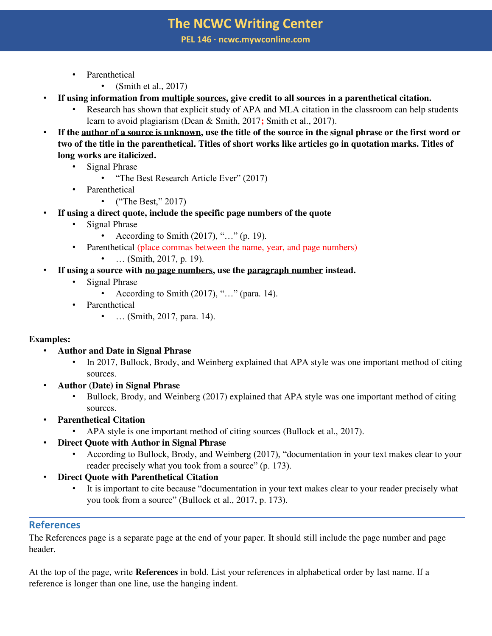**PEL 146 ∙ ncwc.mywconline.com**

- Parenthetical
	- (Smith et al.,  $2017$ )
- **If using information from multiple sources, give credit to all sources in a parenthetical citation.** 
	- Research has shown that explicit study of APA and MLA citation in the classroom can help students learn to avoid plagiarism (Dean & Smith, 2017**;** Smith et al., 2017).
- **If the author of a source is unknown, use the title of the source in the signal phrase or the first word or two of the title in the parenthetical. Titles of short works like articles go in quotation marks. Titles of long works are italicized.** 
	- Signal Phrase
		- "The Best Research Article Ever" (2017)
	- Parenthetical
		- ("The Best," 2017)
- If using a direct quote, include the specific page numbers of the quote
	- Signal Phrase
		- According to Smith  $(2017),$  "..." (p. 19).
	- Parenthetical (place commas between the name, year, and page numbers)
		- $\ldots$  (Smith, 2017, p. 19).
- If using a source with no page numbers, use the paragraph number instead.
	- Signal Phrase
		- According to Smith  $(2017)$ , "..." (para. 14).
	- **Parenthetical** 
		- ... (Smith, 2017, para. 14).

# **Examples:**

- **Author and Date in Signal Phrase** 
	- In 2017, Bullock, Brody, and Weinberg explained that APA style was one important method of citing sources.
- **Author (Date) in Signal Phrase** 
	- Bullock, Brody, and Weinberg (2017) explained that APA style was one important method of citing sources.
- **Parenthetical Citation** 
	- APA style is one important method of citing sources (Bullock et al., 2017).
- **Direct Quote with Author in Signal Phrase** 
	- According to Bullock, Brody, and Weinberg (2017), "documentation in your text makes clear to your reader precisely what you took from a source" (p. 173).
- **Direct Quote with Parenthetical Citation** 
	- It is important to cite because "documentation in your text makes clear to your reader precisely what you took from a source" (Bullock et al., 2017, p. 173).

# **References**

The References page is a separate page at the end of your paper. It should still include the page number and page header.

At the top of the page, write **References** in bold. List your references in alphabetical order by last name. If a reference is longer than one line, use the hanging indent.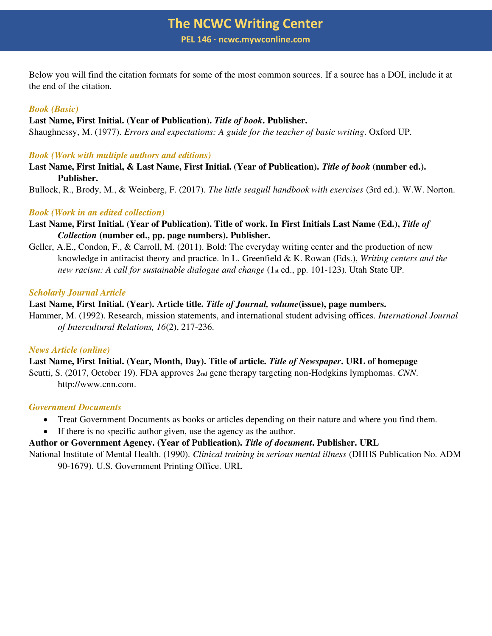**PEL 146 ∙ ncwc.mywconline.com**

Below you will find the citation formats for some of the most common sources. If a source has a DOI, include it at the end of the citation.

### *Book (Basic)*

#### **Last Name, First Initial. (Year of Publication).** *Title of book***. Publisher.**

Shaughnessy, M. (1977). *Errors and expectations: A guide for the teacher of basic writing*. Oxford UP.

#### *Book (Work with multiple authors and editions)*

**Last Name, First Initial, & Last Name, First Initial. (Year of Publication).** *Title of book* **(number ed.). Publisher.** 

Bullock, R., Brody, M., & Weinberg, F. (2017). *The little seagull handbook with exercises* (3rd ed.). W.W. Norton.

#### *Book (Work in an edited collection)*

- Last Name, First Initial. (Year of Publication). Title of work. In First Initials Last Name (Ed.), Title of *Collection* **(number ed., pp. page numbers). Publisher.**
- Geller, A.E., Condon, F., & Carroll, M. (2011). Bold: The everyday writing center and the production of new knowledge in antiracist theory and practice. In L. Greenfield & K. Rowan (Eds.), *Writing centers and the new racism: A call for sustainable dialogue and change* (1st ed., pp. 101-123). Utah State UP.

#### *Scholarly Journal Article*

### **Last Name, First Initial. (Year). Article title.** *Title of Journal, volume***(issue), page numbers.**

Hammer, M. (1992). Research, mission statements, and international student advising offices. *International Journal of Intercultural Relations, 16*(2), 217-236.

#### *News Article (online)*

**Last Name, First Initial. (Year, Month, Day). Title of article.** *Title of Newspaper***. URL of homepage**  Scutti, S. (2017, October 19). FDA approves 2nd gene therapy targeting non-Hodgkins lymphomas. *CNN*. http://www.cnn.com.

#### *Government Documents*

- Treat Government Documents as books or articles depending on their nature and where you find them.
- If there is no specific author given, use the agency as the author.

### **Author or Government Agency. (Year of Publication).** *Title of document***. Publisher. URL**

National Institute of Mental Health. (1990). *Clinical training in serious mental illness* (DHHS Publication No. ADM 90-1679). U.S. Government Printing Office. URL